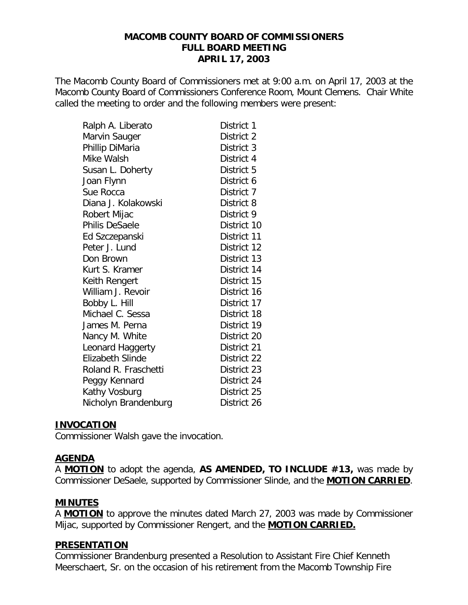### **MACOMB COUNTY BOARD OF COMMISSIONERS FULL BOARD MEETING APRIL 17, 2003**

The Macomb County Board of Commissioners met at 9:00 a.m. on April 17, 2003 at the Macomb County Board of Commissioners Conference Room, Mount Clemens. Chair White called the meeting to order and the following members were present:

| Ralph A. Liberato     | District 1  |
|-----------------------|-------------|
| Marvin Sauger         | District 2  |
| Phillip DiMaria       | District 3  |
| Mike Walsh            | District 4  |
| Susan L. Doherty      | District 5  |
| Joan Flynn            | District 6  |
| Sue Rocca             | District 7  |
| Diana J. Kolakowski   | District 8  |
| Robert Mijac          | District 9  |
| <b>Philis DeSaele</b> | District 10 |
| Ed Szczepanski        | District 11 |
| Peter J. Lund         | District 12 |
| Don Brown             | District 13 |
| Kurt S. Kramer        | District 14 |
| Keith Rengert         | District 15 |
| William J. Revoir     | District 16 |
| Bobby L. Hill         | District 17 |
| Michael C. Sessa      | District 18 |
| James M. Perna        | District 19 |
| Nancy M. White        | District 20 |
| Leonard Haggerty      | District 21 |
| Elizabeth Slinde      | District 22 |
| Roland R. Fraschetti  | District 23 |
| Peggy Kennard         | District 24 |
| Kathy Vosburg         | District 25 |
| Nicholyn Brandenburg  | District 26 |

#### **INVOCATION**

Commissioner Walsh gave the invocation.

### **AGENDA**

A **MOTION** to adopt the agenda, **AS AMENDED, TO INCLUDE #13,** was made by Commissioner DeSaele, supported by Commissioner Slinde, and the **MOTION CARRIED**.

### **MINUTES**

A **MOTION** to approve the minutes dated March 27, 2003 was made by Commissioner Mijac, supported by Commissioner Rengert, and the **MOTION CARRIED.**

### **PRESENTATION**

Commissioner Brandenburg presented a Resolution to Assistant Fire Chief Kenneth Meerschaert, Sr. on the occasion of his retirement from the Macomb Township Fire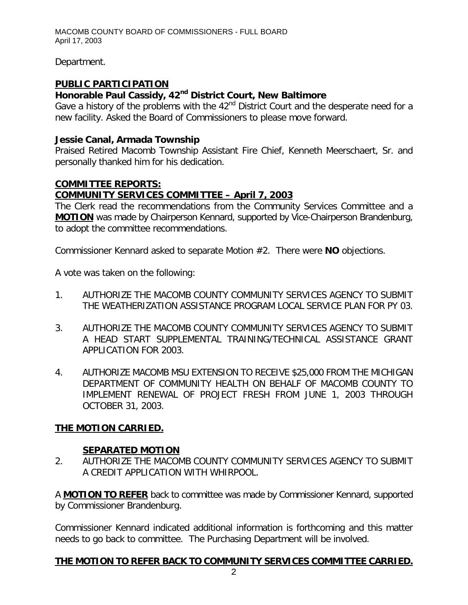Department.

# **PUBLIC PARTICIPATION**

# *Honorable Paul Cassidy, 42nd District Court, New Baltimore*

Gave a history of the problems with the  $42<sup>nd</sup>$  District Court and the desperate need for a new facility. Asked the Board of Commissioners to please move forward.

## *Jessie Canal, Armada Township*

Praised Retired Macomb Township Assistant Fire Chief, Kenneth Meerschaert, Sr. and personally thanked him for his dedication.

# **COMMITTEE REPORTS:**

# *COMMUNITY SERVICES COMMITTEE – April 7, 2003*

The Clerk read the recommendations from the Community Services Committee and a **MOTION** was made by Chairperson Kennard, supported by Vice-Chairperson Brandenburg, to adopt the committee recommendations.

Commissioner Kennard asked to separate Motion #2. There were **NO** objections.

A vote was taken on the following:

- 1. AUTHORIZE THE MACOMB COUNTY COMMUNITY SERVICES AGENCY TO SUBMIT THE WEATHERIZATION ASSISTANCE PROGRAM LOCAL SERVICE PLAN FOR PY 03.
- 3. AUTHORIZE THE MACOMB COUNTY COMMUNITY SERVICES AGENCY TO SUBMIT A HEAD START SUPPLEMENTAL TRAINING/TECHNICAL ASSISTANCE GRANT APPLICATION FOR 2003.
- 4. AUTHORIZE MACOMB MSU EXTENSION TO RECEIVE \$25,000 FROM THE MICHIGAN DEPARTMENT OF COMMUNITY HEALTH ON BEHALF OF MACOMB COUNTY TO IMPLEMENT RENEWAL OF PROJECT FRESH FROM JUNE 1, 2003 THROUGH OCTOBER 31, 2003.

# **THE MOTION CARRIED.**

# **SEPARATED MOTION**

2. AUTHORIZE THE MACOMB COUNTY COMMUNITY SERVICES AGENCY TO SUBMIT A CREDIT APPLICATION WITH WHIRPOOL.

A **MOTION TO REFER** back to committee was made by Commissioner Kennard, supported by Commissioner Brandenburg.

Commissioner Kennard indicated additional information is forthcoming and this matter needs to go back to committee. The Purchasing Department will be involved.

# **THE MOTION TO REFER BACK TO COMMUNITY SERVICES COMMITTEE CARRIED.**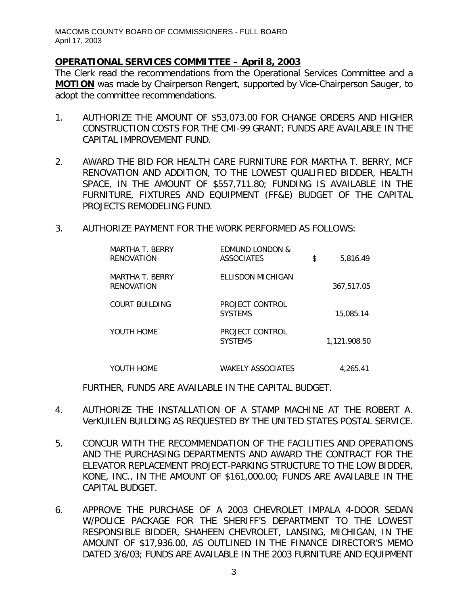### *OPERATIONAL SERVICES COMMITTEE – April 8, 2003*

The Clerk read the recommendations from the Operational Services Committee and a **MOTION** was made by Chairperson Rengert, supported by Vice-Chairperson Sauger, to adopt the committee recommendations.

- 1. AUTHORIZE THE AMOUNT OF \$53,073.00 FOR CHANGE ORDERS AND HIGHER CONSTRUCTION COSTS FOR THE CMI-99 GRANT; FUNDS ARE AVAILABLE IN THE CAPITAL IMPROVEMENT FUND.
- 2. AWARD THE BID FOR HEALTH CARE FURNITURE FOR MARTHA T. BERRY, MCF RENOVATION AND ADDITION, TO THE LOWEST QUALIFIED BIDDER, HEALTH SPACE, IN THE AMOUNT OF \$557,711.80; FUNDING IS AVAILABLE IN THE FURNITURE, FIXTURES AND EQUIPMENT (FF&E) BUDGET OF THE CAPITAL PROJECTS REMODELING FUND.
- 3. AUTHORIZE PAYMENT FOR THE WORK PERFORMED AS FOLLOWS:

| MARTHA T. BERRY<br>RENOVATION | <b>EDMUND LONDON &amp;</b><br>ASSOCIATES | \$<br>5.816.49 |
|-------------------------------|------------------------------------------|----------------|
| MARTHA T. BERRY<br>RENOVATION | ELLISDON MICHIGAN                        | 367,517.05     |
| COURT BUILDING                | PROJECT CONTROL<br><b>SYSTEMS</b>        | 15,085.14      |
| YOUTH HOME                    | PROJECT CONTROL<br><b>SYSTEMS</b>        | 1.121.908.50   |
| YOUTH HOME                    | WAKELY ASSOCIATES                        | 4.265.41       |

FURTHER, FUNDS ARE AVAILABLE IN THE CAPITAL BUDGET.

- 4. AUTHORIZE THE INSTALLATION OF A STAMP MACHINE AT THE ROBERT A. VerKUILEN BUILDING AS REQUESTED BY THE UNITED STATES POSTAL SERVICE.
- 5. CONCUR WITH THE RECOMMENDATION OF THE FACILITIES AND OPERATIONS AND THE PURCHASING DEPARTMENTS AND AWARD THE CONTRACT FOR THE ELEVATOR REPLACEMENT PROJECT-PARKING STRUCTURE TO THE LOW BIDDER, KONE, INC., IN THE AMOUNT OF \$161,000.00; FUNDS ARE AVAILABLE IN THE CAPITAL BUDGET.
- 6. APPROVE THE PURCHASE OF A 2003 CHEVROLET IMPALA 4-DOOR SEDAN W/POLICE PACKAGE FOR THE SHERIFF'S DEPARTMENT TO THE LOWEST RESPONSIBLE BIDDER, SHAHEEN CHEVROLET, LANSING, MICHIGAN, IN THE AMOUNT OF \$17,936.00, AS OUTLINED IN THE FINANCE DIRECTOR'S MEMO DATED 3/6/03; FUNDS ARE AVAILABLE IN THE 2003 FURNITURE AND EQUIPMENT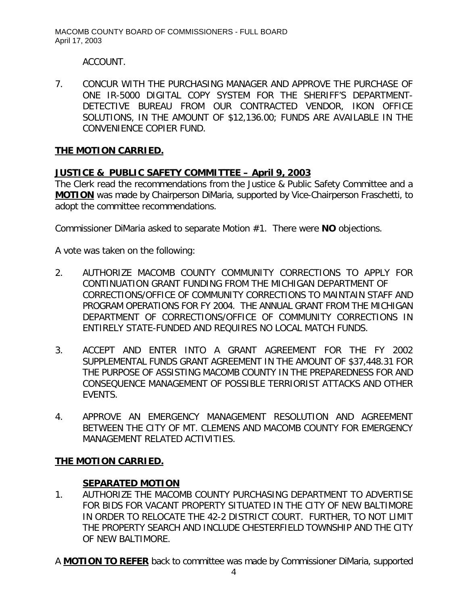ACCOUNT.

7. CONCUR WITH THE PURCHASING MANAGER AND APPROVE THE PURCHASE OF ONE IR-5000 DIGITAL COPY SYSTEM FOR THE SHERIFF'S DEPARTMENT-DETECTIVE BUREAU FROM OUR CONTRACTED VENDOR, IKON OFFICE SOLUTIONS, IN THE AMOUNT OF \$12,136.00; FUNDS ARE AVAILABLE IN THE CONVENIENCE COPIER FUND.

# **THE MOTION CARRIED.**

# *JUSTICE & PUBLIC SAFETY COMMITTEE – April 9, 2003*

The Clerk read the recommendations from the Justice & Public Safety Committee and a **MOTION** was made by Chairperson DiMaria, supported by Vice-Chairperson Fraschetti, to adopt the committee recommendations.

Commissioner DiMaria asked to separate Motion #1. There were **NO** objections.

A vote was taken on the following:

- 2. AUTHORIZE MACOMB COUNTY COMMUNITY CORRECTIONS TO APPLY FOR CONTINUATION GRANT FUNDING FROM THE MICHIGAN DEPARTMENT OF CORRECTIONS/OFFICE OF COMMUNITY CORRECTIONS TO MAINTAIN STAFF AND PROGRAM OPERATIONS FOR FY 2004. THE ANNUAL GRANT FROM THE MICHIGAN DEPARTMENT OF CORRECTIONS/OFFICE OF COMMUNITY CORRECTIONS IN ENTIRELY STATE-FUNDED AND REQUIRES NO LOCAL MATCH FUNDS.
- 3. ACCEPT AND ENTER INTO A GRANT AGREEMENT FOR THE FY 2002 SUPPLEMENTAL FUNDS GRANT AGREEMENT IN THE AMOUNT OF \$37,448.31 FOR THE PURPOSE OF ASSISTING MACOMB COUNTY IN THE PREPAREDNESS FOR AND CONSEQUENCE MANAGEMENT OF POSSIBLE TERRIORIST ATTACKS AND OTHER EVENTS.
- 4. APPROVE AN EMERGENCY MANAGEMENT RESOLUTION AND AGREEMENT BETWEEN THE CITY OF MT. CLEMENS AND MACOMB COUNTY FOR EMERGENCY MANAGEMENT RELATED ACTIVITIES.

# **THE MOTION CARRIED.**

### **SEPARATED MOTION**

- 1. AUTHORIZE THE MACOMB COUNTY PURCHASING DEPARTMENT TO ADVERTISE FOR BIDS FOR VACANT PROPERTY SITUATED IN THE CITY OF NEW BALTIMORE IN ORDER TO RELOCATE THE 42-2 DISTRICT COURT. FURTHER, TO NOT LIMIT THE PROPERTY SEARCH AND INCLUDE CHESTERFIELD TOWNSHIP AND THE CITY OF NEW BALTIMORE.
- A **MOTION TO REFER** back to committee was made by Commissioner DiMaria, supported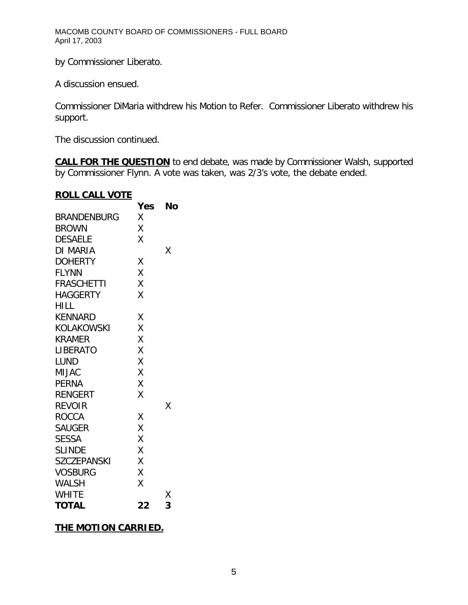by Commissioner Liberato.

A discussion ensued.

Commissioner DiMaria withdrew his Motion to Refer. Commissioner Liberato withdrew his support.

The discussion continued.

**CALL FOR THE QUESTION** to end debate, was made by Commissioner Walsh, supported by Commissioner Flynn. A vote was taken, was 2/3's vote, the debate ended.

### **ROLL CALL VOTE**

|                    | <b>Yes</b> | No |
|--------------------|------------|----|
| BRANDENBURG        | Χ          |    |
| <b>BROWN</b>       | X          |    |
| <b>DESAELE</b>     | Χ          |    |
| DI MARIA           |            | Χ  |
| <b>DOHERTY</b>     | Χ          |    |
| <b>FLYNN</b>       | Χ          |    |
| FRASCHETTI         | Χ          |    |
| <b>HAGGERTY</b>    | X          |    |
| HILL               |            |    |
| KENNARD            | Χ          |    |
| KOLAKOWSKI         | X          |    |
| <b>KRAMER</b>      | Χ          |    |
| LIBERATO           | Χ          |    |
| <b>LUND</b>        | X          |    |
| <b>MIJAC</b>       | X          |    |
| PERNA              | X          |    |
| RENGERT            | Χ          |    |
| <b>REVOIR</b>      |            | Χ  |
| <b>ROCCA</b>       | Χ          |    |
| <b>SAUGER</b>      | X          |    |
| <b>SESSA</b>       | X          |    |
| <b>SLINDE</b>      | X          |    |
| <b>SZCZEPANSKI</b> | Χ          |    |
| <b>VOSBURG</b>     | X          |    |
| <b>WALSH</b>       | Χ          |    |
| <b>WHITE</b>       |            | Χ  |
| <b>TOTAL</b>       | 22         | 3  |

# **THE MOTION CARRIED.**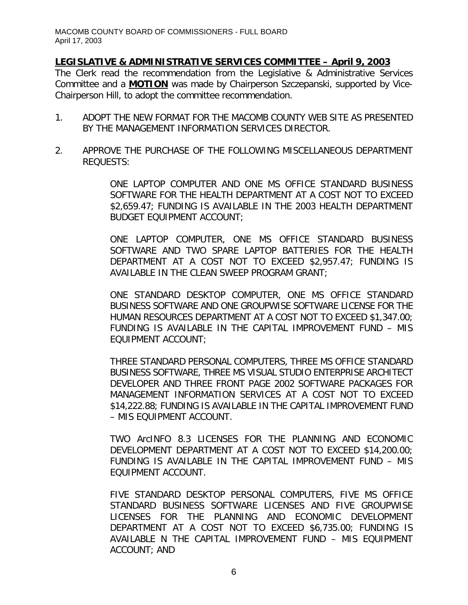# *LEGISLATIVE & ADMINISTRATIVE SERVICES COMMITTEE – April 9, 2003*

The Clerk read the recommendation from the Legislative & Administrative Services Committee and a **MOTION** was made by Chairperson Szczepanski, supported by Vice-Chairperson Hill, to adopt the committee recommendation.

- 1. ADOPT THE NEW FORMAT FOR THE MACOMB COUNTY WEB SITE AS PRESENTED BY THE MANAGEMENT INFORMATION SERVICES DIRECTOR.
- 2. APPROVE THE PURCHASE OF THE FOLLOWING MISCELLANEOUS DEPARTMENT REQUESTS:

ONE LAPTOP COMPUTER AND ONE MS OFFICE STANDARD BUSINESS SOFTWARE FOR THE HEALTH DEPARTMENT AT A COST NOT TO EXCEED \$2,659.47; FUNDING IS AVAILABLE IN THE 2003 HEALTH DEPARTMENT BUDGET EQUIPMENT ACCOUNT;

ONE LAPTOP COMPUTER, ONE MS OFFICE STANDARD BUSINESS SOFTWARE AND TWO SPARE LAPTOP BATTERIES FOR THE HEALTH DEPARTMENT AT A COST NOT TO EXCEED \$2,957.47; FUNDING IS AVAILABLE IN THE CLEAN SWEEP PROGRAM GRANT;

ONE STANDARD DESKTOP COMPUTER, ONE MS OFFICE STANDARD BUSINESS SOFTWARE AND ONE GROUPWISE SOFTWARE LICENSE FOR THE HUMAN RESOURCES DEPARTMENT AT A COST NOT TO EXCEED \$1,347.00; FUNDING IS AVAILABLE IN THE CAPITAL IMPROVEMENT FUND – MIS EQUIPMENT ACCOUNT;

THREE STANDARD PERSONAL COMPUTERS, THREE MS OFFICE STANDARD BUSINESS SOFTWARE, THREE MS VISUAL STUDIO ENTERPRISE ARCHITECT DEVELOPER AND THREE FRONT PAGE 2002 SOFTWARE PACKAGES FOR MANAGEMENT INFORMATION SERVICES AT A COST NOT TO EXCEED \$14,222.88; FUNDING IS AVAILABLE IN THE CAPITAL IMPROVEMENT FUND – MIS EQUIPMENT ACCOUNT.

TWO ArcINFO 8.3 LICENSES FOR THE PLANNING AND ECONOMIC DEVELOPMENT DEPARTMENT AT A COST NOT TO EXCEED \$14,200.00; FUNDING IS AVAILABLE IN THE CAPITAL IMPROVEMENT FUND – MIS EQUIPMENT ACCOUNT.

FIVE STANDARD DESKTOP PERSONAL COMPUTERS, FIVE MS OFFICE STANDARD BUSINESS SOFTWARE LICENSES AND FIVE GROUPWISE LICENSES FOR THE PLANNING AND ECONOMIC DEVELOPMENT DEPARTMENT AT A COST NOT TO EXCEED \$6,735.00; FUNDING IS AVAILABLE N THE CAPITAL IMPROVEMENT FUND – MIS EQUIPMENT ACCOUNT; AND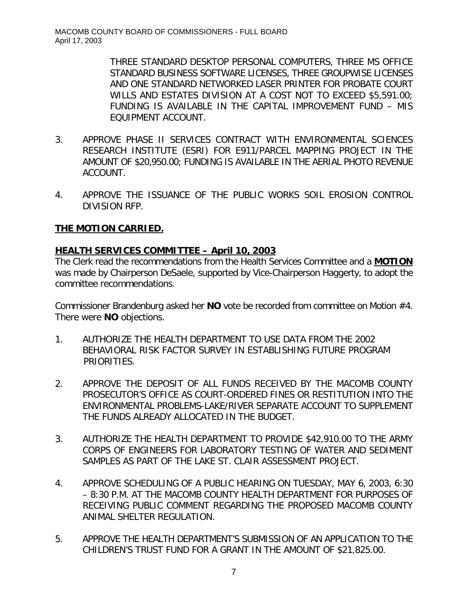THREE STANDARD DESKTOP PERSONAL COMPUTERS, THREE MS OFFICE STANDARD BUSINESS SOFTWARE LICENSES, THREE GROUPWISE LICENSES AND ONE STANDARD NETWORKED LASER PRINTER FOR PROBATE COURT WILLS AND ESTATES DIVISION AT A COST NOT TO EXCEED \$5,591.00; FUNDING IS AVAILABLE IN THE CAPITAL IMPROVEMENT FUND – MIS EQUIPMENT ACCOUNT.

- 3. APPROVE PHASE II SERVICES CONTRACT WITH ENVIRONMENTAL SCIENCES RESEARCH INSTITUTE (ESRI) FOR E911/PARCEL MAPPING PROJECT IN THE AMOUNT OF \$20,950.00; FUNDING IS AVAILABLE IN THE AERIAL PHOTO REVENUE ACCOUNT.
- 4. APPROVE THE ISSUANCE OF THE PUBLIC WORKS SOIL EROSION CONTROL DIVISION RFP.

# **THE MOTION CARRIED.**

### *HEALTH SERVICES COMMITTEE – April 10, 2003*

The Clerk read the recommendations from the Health Services Committee and a **MOTION** was made by Chairperson DeSaele, supported by Vice-Chairperson Haggerty, to adopt the committee recommendations.

Commissioner Brandenburg asked her **NO** vote be recorded from committee on Motion #4. There were **NO** objections.

- 1. AUTHORIZE THE HEALTH DEPARTMENT TO USE DATA FROM THE 2002 BEHAVIORAL RISK FACTOR SURVEY IN ESTABLISHING FUTURE PROGRAM PRIORITIES.
- 2. APPROVE THE DEPOSIT OF ALL FUNDS RECEIVED BY THE MACOMB COUNTY PROSECUTOR'S OFFICE AS COURT-ORDERED FINES OR RESTITUTION INTO THE ENVIRONMENTAL PROBLEMS-LAKE/RIVER SEPARATE ACCOUNT TO SUPPLEMENT THE FUNDS ALREADY ALLOCATED IN THE BUDGET.
- 3. AUTHORIZE THE HEALTH DEPARTMENT TO PROVIDE \$42,910.00 TO THE ARMY CORPS OF ENGINEERS FOR LABORATORY TESTING OF WATER AND SEDIMENT SAMPLES AS PART OF THE LAKE ST. CLAIR ASSESSMENT PROJECT.
- 4. APPROVE SCHEDULING OF A PUBLIC HEARING ON TUESDAY, MAY 6, 2003, 6:30 – 8:30 P.M. AT THE MACOMB COUNTY HEALTH DEPARTMENT FOR PURPOSES OF RECEIVING PUBLIC COMMENT REGARDING THE PROPOSED MACOMB COUNTY ANIMAL SHELTER REGULATION.
- 5. APPROVE THE HEALTH DEPARTMENT'S SUBMISSION OF AN APPLICATION TO THE CHILDREN'S TRUST FUND FOR A GRANT IN THE AMOUNT OF \$21,825.00.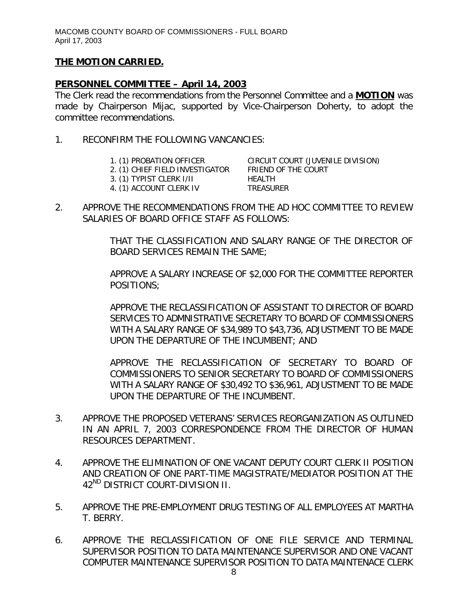# **THE MOTION CARRIED.**

### *PERSONNEL COMMITTEE – April 14, 2003*

The Clerk read the recommendations from the Personnel Committee and a **MOTION** was made by Chairperson Mijac, supported by Vice-Chairperson Doherty, to adopt the committee recommendations.

- 1. RECONFIRM THE FOLLOWING VANCANCIES:
	- 2. (1) CHIEF FIELD INVESTIGATOR
	- 1. (1) PROBATION OFFICER CIRCUIT COURT (JUVENILE DIVISION)<br>2. (1) CHIEF FIELD INVESTIGATOR FRIEND OF THE COURT
	- 3. (1) TYPIST CLERK I/II HEALTH 4. (1) ACCOUNT CLERK IV TREASURER
- 
- 2. APPROVE THE RECOMMENDATIONS FROM THE AD HOC COMMITTEE TO REVIEW SALARIES OF BOARD OFFICE STAFF AS FOLLOWS:

THAT THE CLASSIFICATION AND SALARY RANGE OF THE DIRECTOR OF BOARD SERVICES REMAIN THE SAME;

APPROVE A SALARY INCREASE OF \$2,000 FOR THE COMMITTEE REPORTER POSITIONS;

APPROVE THE RECLASSIFICATION OF ASSISTANT TO DIRECTOR OF BOARD SERVICES TO ADMNISTRATIVE SECRETARY TO BOARD OF COMMISSIONERS WITH A SALARY RANGE OF \$34,989 TO \$43,736, ADJUSTMENT TO BE MADE UPON THE DEPARTURE OF THE INCUMBENT; AND

APPROVE THE RECLASSIFICATION OF SECRETARY TO BOARD OF COMMISSIONERS TO SENIOR SECRETARY TO BOARD OF COMMISSIONERS WITH A SALARY RANGE OF \$30,492 TO \$36,961, ADJUSTMENT TO BE MADE UPON THE DEPARTURE OF THE INCUMBENT.

- 3. APPROVE THE PROPOSED VETERANS' SERVICES REORGANIZATION AS OUTLINED IN AN APRIL 7, 2003 CORRESPONDENCE FROM THE DIRECTOR OF HUMAN RESOURCES DEPARTMENT.
- 4. APPROVE THE ELIMINATION OF ONE VACANT DEPUTY COURT CLERK II POSITION AND CREATION OF ONE PART-TIME MAGISTRATE/MEDIATOR POSITION AT THE 42<sup>ND</sup> DISTRICT COURT-DIVISION II.
- 5. APPROVE THE PRE-EMPLOYMENT DRUG TESTING OF ALL EMPLOYEES AT MARTHA T. BERRY.
- 6. APPROVE THE RECLASSIFICATION OF ONE FILE SERVICE AND TERMINAL SUPERVISOR POSITION TO DATA MAINTENANCE SUPERVISOR AND ONE VACANT COMPUTER MAINTENANCE SUPERVISOR POSITION TO DATA MAINTENACE CLERK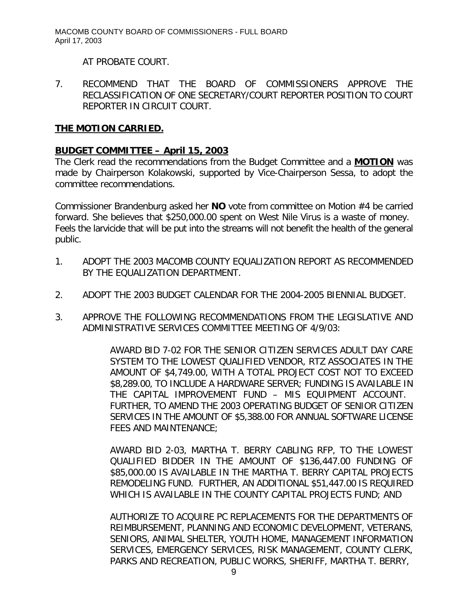AT PROBATE COURT.

7. RECOMMEND THAT THE BOARD OF COMMISSIONERS APPROVE THE RECLASSIFICATION OF ONE SECRETARY/COURT REPORTER POSITION TO COURT REPORTER IN CIRCUIT COURT.

### **THE MOTION CARRIED.**

## *BUDGET COMMITTEE – April 15, 2003*

The Clerk read the recommendations from the Budget Committee and a **MOTION** was made by Chairperson Kolakowski, supported by Vice-Chairperson Sessa, to adopt the committee recommendations.

Commissioner Brandenburg asked her **NO** vote from committee on Motion #4 be carried forward. She believes that \$250,000.00 spent on West Nile Virus is a waste of money. Feels the larvicide that will be put into the streams will not benefit the health of the general public.

- 1. ADOPT THE 2003 MACOMB COUNTY EQUALIZATION REPORT AS RECOMMENDED BY THE EQUALIZATION DEPARTMENT.
- 2. ADOPT THE 2003 BUDGET CALENDAR FOR THE 2004-2005 BIENNIAL BUDGET.
- 3. APPROVE THE FOLLOWING RECOMMENDATIONS FROM THE LEGISLATIVE AND ADMINISTRATIVE SERVICES COMMITTEE MEETING OF 4/9/03:

AWARD BID 7-02 FOR THE SENIOR CITIZEN SERVICES ADULT DAY CARE SYSTEM TO THE LOWEST QUALIFIED VENDOR, RTZ ASSOCIATES IN THE AMOUNT OF \$4,749.00, WITH A TOTAL PROJECT COST NOT TO EXCEED \$8,289.00, TO INCLUDE A HARDWARE SERVER; FUNDING IS AVAILABLE IN THE CAPITAL IMPROVEMENT FUND – MIS EQUIPMENT ACCOUNT. FURTHER, TO AMEND THE 2003 OPERATING BUDGET OF SENIOR CITIZEN SERVICES IN THE AMOUNT OF \$5,388.00 FOR ANNUAL SOFTWARE LICENSE FEES AND MAINTENANCE;

AWARD BID 2-03, MARTHA T. BERRY CABLING RFP, TO THE LOWEST QUALIFIED BIDDER IN THE AMOUNT OF \$136,447.00 FUNDING OF \$85,000.00 IS AVAILABLE IN THE MARTHA T. BERRY CAPITAL PROJECTS REMODELING FUND. FURTHER, AN ADDITIONAL \$51,447.00 IS REQUIRED WHICH IS AVAILABLE IN THE COUNTY CAPITAL PROJECTS FUND; AND

AUTHORIZE TO ACQUIRE PC REPLACEMENTS FOR THE DEPARTMENTS OF REIMBURSEMENT, PLANNING AND ECONOMIC DEVELOPMENT, VETERANS, SENIORS, ANIMAL SHELTER, YOUTH HOME, MANAGEMENT INFORMATION SERVICES, EMERGENCY SERVICES, RISK MANAGEMENT, COUNTY CLERK, PARKS AND RECREATION, PUBLIC WORKS, SHERIFF, MARTHA T. BERRY,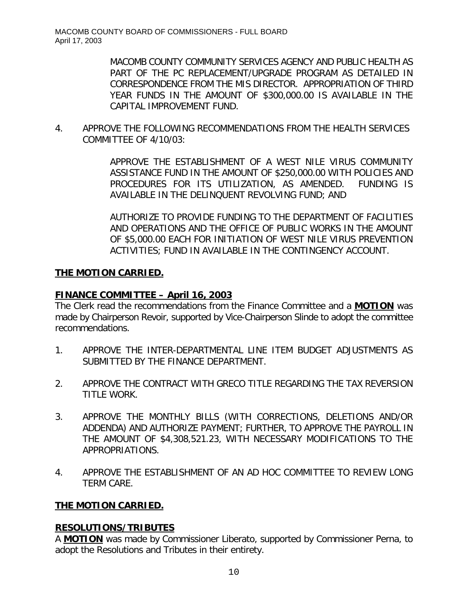MACOMB COUNTY COMMUNITY SERVICES AGENCY AND PUBLIC HEALTH AS PART OF THE PC REPLACEMENT/UPGRADE PROGRAM AS DETAILED IN CORRESPONDENCE FROM THE MIS DIRECTOR. APPROPRIATION OF THIRD YEAR FUNDS IN THE AMOUNT OF \$300,000.00 IS AVAILABLE IN THE CAPITAL IMPROVEMENT FUND.

4. APPROVE THE FOLLOWING RECOMMENDATIONS FROM THE HEALTH SERVICES COMMITTEE OF 4/10/03:

> APPROVE THE ESTABLISHMENT OF A WEST NILE VIRUS COMMUNITY ASSISTANCE FUND IN THE AMOUNT OF \$250,000.00 WITH POLICIES AND PROCEDURES FOR ITS UTILIZATION, AS AMENDED. FUNDING IS AVAILABLE IN THE DELINQUENT REVOLVING FUND; AND

> AUTHORIZE TO PROVIDE FUNDING TO THE DEPARTMENT OF FACILITIES AND OPERATIONS AND THE OFFICE OF PUBLIC WORKS IN THE AMOUNT OF \$5,000.00 EACH FOR INITIATION OF WEST NILE VIRUS PREVENTION ACTIVITIES; FUND IN AVAILABLE IN THE CONTINGENCY ACCOUNT.

# **THE MOTION CARRIED.**

# *FINANCE COMMITTEE – April 16, 2003*

The Clerk read the recommendations from the Finance Committee and a **MOTION** was made by Chairperson Revoir, supported by Vice-Chairperson Slinde to adopt the committee recommendations.

- 1. APPROVE THE INTER-DEPARTMENTAL LINE ITEM BUDGET ADJUSTMENTS AS SUBMITTED BY THE FINANCE DEPARTMENT.
- 2. APPROVE THE CONTRACT WITH GRECO TITLE REGARDING THE TAX REVERSION TITLE WORK.
- 3. APPROVE THE MONTHLY BILLS (WITH CORRECTIONS, DELETIONS AND/OR ADDENDA) AND AUTHORIZE PAYMENT; FURTHER, TO APPROVE THE PAYROLL IN THE AMOUNT OF \$4,308,521.23, WITH NECESSARY MODIFICATIONS TO THE APPROPRIATIONS.
- 4. APPROVE THE ESTABLISHMENT OF AN AD HOC COMMITTEE TO REVIEW LONG TERM CARE.

# **THE MOTION CARRIED.**

### **RESOLUTIONS/TRIBUTES**

A **MOTION** was made by Commissioner Liberato, supported by Commissioner Perna, to adopt the Resolutions and Tributes in their entirety.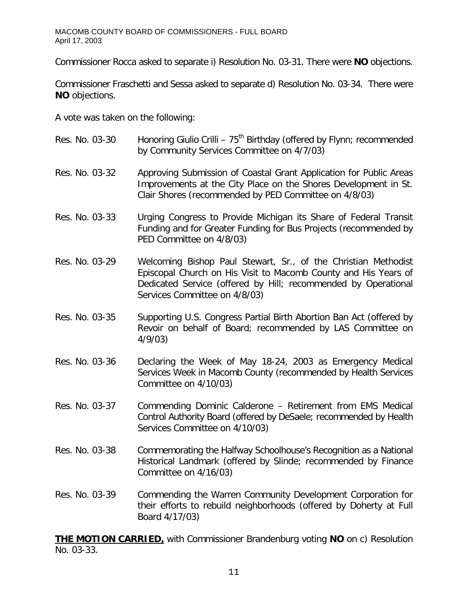Commissioner Rocca asked to separate i) Resolution No. 03-31. There were **NO** objections.

Commissioner Fraschetti and Sessa asked to separate d) Resolution No. 03-34. There were **NO** objections.

A vote was taken on the following:

Res. No. 03-30 Honoring Giulio Crilli - 75<sup>th</sup> Birthday (offered by Flynn; recommended by Community Services Committee on 4/7/03) Res. No. 03-32 Approving Submission of Coastal Grant Application for Public Areas Improvements at the City Place on the Shores Development in St. Clair Shores (recommended by PED Committee on 4/8/03) Res. No. 03-33 Urging Congress to Provide Michigan its Share of Federal Transit Funding and for Greater Funding for Bus Projects (recommended by PED Committee on 4/8/03) Res. No. 03-29 Welcoming Bishop Paul Stewart, Sr., of the Christian Methodist Episcopal Church on His Visit to Macomb County and His Years of Dedicated Service (offered by Hill; recommended by Operational Services Committee on 4/8/03) Res. No. 03-35 Supporting U.S. Congress Partial Birth Abortion Ban Act (offered by Revoir on behalf of Board; recommended by LAS Committee on 4/9/03) Res. No. 03-36 Declaring the Week of May 18-24, 2003 as Emergency Medical Services Week in Macomb County (recommended by Health Services Committee on 4/10/03) Res. No. 03-37 Commending Dominic Calderone – Retirement from EMS Medical Control Authority Board (offered by DeSaele; recommended by Health Services Committee on 4/10/03) Res. No. 03-38 Commemorating the Halfway Schoolhouse's Recognition as a National Historical Landmark (offered by Slinde; recommended by Finance Committee on 4/16/03) Res. No. 03-39 Commending the Warren Community Development Corporation for their efforts to rebuild neighborhoods (offered by Doherty at Full Board 4/17/03)

**THE MOTION CARRIED,** with Commissioner Brandenburg voting **NO** on c) Resolution No. 03-33.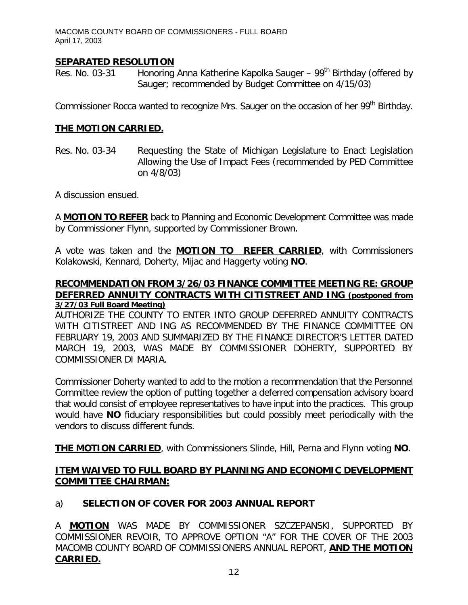### **SEPARATED RESOLUTION**

Res. No. 03-31 Honoring Anna Katherine Kapolka Sauger –  $99<sup>th</sup>$  Birthday (offered by Sauger; recommended by Budget Committee on 4/15/03)

Commissioner Rocca wanted to recognize Mrs. Sauger on the occasion of her 99<sup>th</sup> Birthday.

#### **THE MOTION CARRIED.**

Res. No. 03-34 Requesting the State of Michigan Legislature to Enact Legislation Allowing the Use of Impact Fees (recommended by PED Committee on 4/8/03)

A discussion ensued.

A **MOTION TO REFER** back to Planning and Economic Development Committee was made by Commissioner Flynn, supported by Commissioner Brown.

A vote was taken and the **MOTION TO REFER CARRIED**, with Commissioners Kolakowski, Kennard, Doherty, Mijac and Haggerty voting **NO**.

#### **RECOMMENDATION FROM 3/26/03 FINANCE COMMITTEE MEETING RE: GROUP DEFERRED ANNUITY CONTRACTS WITH CITISTREET AND ING (postponed from 3/27/03 Full Board Meeting)**

AUTHORIZE THE COUNTY TO ENTER INTO GROUP DEFERRED ANNUITY CONTRACTS WITH CITISTREET AND ING AS RECOMMENDED BY THE FINANCE COMMITTEE ON FEBRUARY 19, 2003 AND SUMMARIZED BY THE FINANCE DIRECTOR'S LETTER DATED MARCH 19, 2003, WAS MADE BY COMMISSIONER DOHERTY, SUPPORTED BY COMMISSIONER DI MARIA.

Commissioner Doherty wanted to add to the motion a recommendation that the Personnel Committee review the option of putting together a deferred compensation advisory board that would consist of employee representatives to have input into the practices. This group would have **NO** fiduciary responsibilities but could possibly meet periodically with the vendors to discuss different funds.

**THE MOTION CARRIED**, with Commissioners Slinde, Hill, Perna and Flynn voting **NO**.

### **ITEM WAIVED TO FULL BOARD BY PLANNING AND ECONOMIC DEVELOPMENT COMMITTEE CHAIRMAN:**

### a) **SELECTION OF COVER FOR 2003 ANNUAL REPORT**

A **MOTION** WAS MADE BY COMMISSIONER SZCZEPANSKI, SUPPORTED BY COMMISSIONER REVOIR, TO APPROVE OPTION "A" FOR THE COVER OF THE 2003 MACOMB COUNTY BOARD OF COMMISSIONERS ANNUAL REPORT, **AND THE MOTION CARRIED.**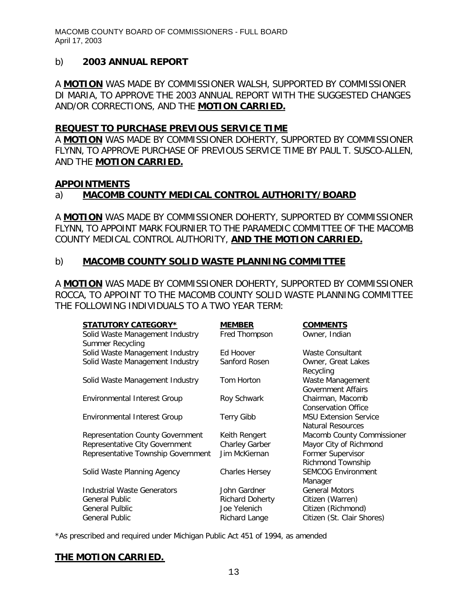### b) **2003 ANNUAL REPORT**

A **MOTION** WAS MADE BY COMMISSIONER WALSH, SUPPORTED BY COMMISSIONER DI MARIA, TO APPROVE THE 2003 ANNUAL REPORT WITH THE SUGGESTED CHANGES AND/OR CORRECTIONS, AND THE **MOTION CARRIED.**

### **REQUEST TO PURCHASE PREVIOUS SERVICE TIME**

A **MOTION** WAS MADE BY COMMISSIONER DOHERTY, SUPPORTED BY COMMISSIONER FLYNN, TO APPROVE PURCHASE OF PREVIOUS SERVICE TIME BY PAUL T. SUSCO-ALLEN, AND THE **MOTION CARRIED.**

### **APPOINTMENTS**

# a) **MACOMB COUNTY MEDICAL CONTROL AUTHORITY/BOARD**

A **MOTION** WAS MADE BY COMMISSIONER DOHERTY, SUPPORTED BY COMMISSIONER FLYNN, TO APPOINT MARK FOURNIER TO THE PARAMEDIC COMMITTEE OF THE MACOMB COUNTY MEDICAL CONTROL AUTHORITY, **AND THE MOTION CARRIED.**

### b) **MACOMB COUNTY SOLID WASTE PLANNING COMMITTEE**

A **MOTION** WAS MADE BY COMMISSIONER DOHERTY, SUPPORTED BY COMMISSIONER ROCCA, TO APPOINT TO THE MACOMB COUNTY SOLID WASTE PLANNING COMMITTEE THE FOLLOWING INDIVIDUALS TO A TWO YEAR TERM:

| <b>STATUTORY CATEGORY*</b>              | <b>MEMBER</b>          | <b>COMMENTS</b>              |
|-----------------------------------------|------------------------|------------------------------|
| Solid Waste Management Industry         | Fred Thompson          | Owner, Indian                |
| Summer Recycling                        |                        |                              |
| Solid Waste Management Industry         | Ed Hoover              | Waste Consultant             |
| Solid Waste Management Industry         | Sanford Rosen          | Owner, Great Lakes           |
|                                         |                        | Recycling                    |
| Solid Waste Management Industry         | Tom Horton             | Waste Management             |
|                                         |                        | <b>Government Affairs</b>    |
| Environmental Interest Group            | Roy Schwark            | Chairman, Macomb             |
|                                         |                        | <b>Conservation Office</b>   |
| Environmental Interest Group            | <b>Terry Gibb</b>      | <b>MSU Extension Service</b> |
|                                         |                        | <b>Natural Resources</b>     |
| <b>Representation County Government</b> | Keith Rengert          | Macomb County Commissioner   |
| Representative City Government          | Charley Garber         | Mayor City of Richmond       |
| Representative Township Government      | Jim McKiernan          | Former Supervisor            |
|                                         |                        | Richmond Township            |
| Solid Waste Planning Agency             | <b>Charles Hersey</b>  | <b>SEMCOG Environment</b>    |
|                                         |                        | Manager                      |
| <b>Industrial Waste Generators</b>      | John Gardner           | <b>General Motors</b>        |
| <b>General Public</b>                   | <b>Richard Doherty</b> | Citizen (Warren)             |
| <b>General Pulblic</b>                  | Joe Yelenich           | Citizen (Richmond)           |
| <b>General Public</b>                   | Richard Lange          | Citizen (St. Clair Shores)   |

*\*As prescribed and required under Michigan Public Act 451 of 1994, as amended*

# **THE MOTION CARRIED.**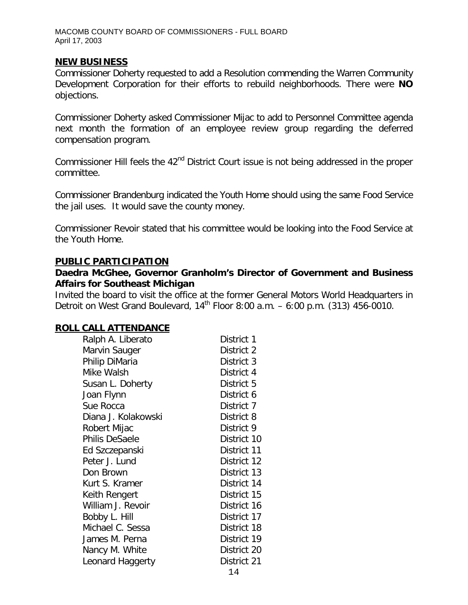### **NEW BUSINESS**

Commissioner Doherty requested to add a Resolution commending the Warren Community Development Corporation for their efforts to rebuild neighborhoods. There were **NO** objections.

Commissioner Doherty asked Commissioner Mijac to add to Personnel Committee agenda next month the formation of an employee review group regarding the deferred compensation program.

Commissioner Hill feels the 42<sup>nd</sup> District Court issue is not being addressed in the proper committee.

Commissioner Brandenburg indicated the Youth Home should using the same Food Service the jail uses. It would save the county money.

Commissioner Revoir stated that his committee would be looking into the Food Service at the Youth Home.

#### **PUBLIC PARTICIPATION**

### *Daedra McGhee, Governor Granholm's Director of Government and Business Affairs for Southeast Michigan*

Invited the board to visit the office at the former General Motors World Headquarters in Detroit on West Grand Boulevard,  $14^{\text{th}}$  Floor 8:00 a.m.  $-6:00$  p.m. (313) 456-0010.

#### **ROLL CALL ATTENDANCE**

| Ralph A. Liberato   | District 1  |
|---------------------|-------------|
| Marvin Sauger       | District 2  |
| Philip DiMaria      | District 3  |
| Mike Walsh          | District 4  |
| Susan L. Doherty    | District 5  |
| Joan Flynn          | District 6  |
| Sue Rocca           | District 7  |
| Diana J. Kolakowski | District 8  |
| Robert Mijac        | District 9  |
| Philis DeSaele      | District 10 |
| Ed Szczepanski      | District 11 |
| Peter J. Lund       | District 12 |
| Don Brown           | District 13 |
| Kurt S. Kramer      | District 14 |
| Keith Rengert       | District 15 |
| William J. Revoir   | District 16 |
| Bobby L. Hill       | District 17 |
| Michael C. Sessa    | District 18 |
| James M. Perna      | District 19 |
| Nancy M. White      | District 20 |
| Leonard Haggerty    | District 21 |